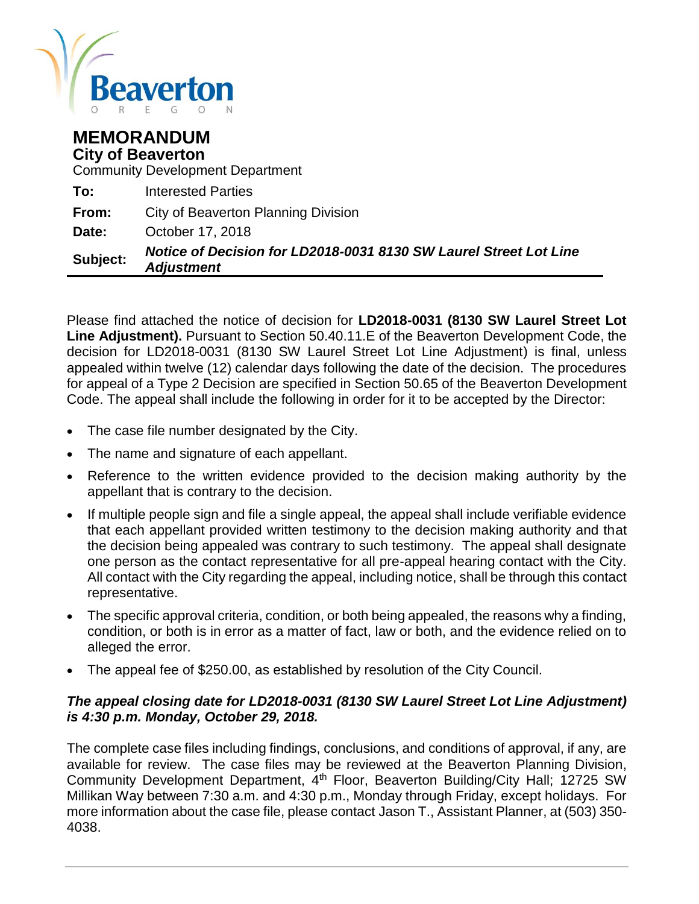

# **MEMORANDUM City of Beaverton**

| Subject: | Notice of Decision for LD2018-0031 8130 SW Laurel Street Lot Line<br><b>Adjustment</b> |
|----------|----------------------------------------------------------------------------------------|
| Date:    | October 17, 2018                                                                       |
| From:    | City of Beaverton Planning Division                                                    |
| To:      | <b>Interested Parties</b>                                                              |
|          | <b>Community Development Department</b>                                                |

Please find attached the notice of decision for **LD2018-0031 (8130 SW Laurel Street Lot Line Adjustment).** Pursuant to Section 50.40.11.E of the Beaverton Development Code, the decision for LD2018-0031 (8130 SW Laurel Street Lot Line Adjustment) is final, unless appealed within twelve (12) calendar days following the date of the decision. The procedures for appeal of a Type 2 Decision are specified in Section 50.65 of the Beaverton Development Code. The appeal shall include the following in order for it to be accepted by the Director:

- The case file number designated by the City.
- The name and signature of each appellant.
- Reference to the written evidence provided to the decision making authority by the appellant that is contrary to the decision.
- If multiple people sign and file a single appeal, the appeal shall include verifiable evidence that each appellant provided written testimony to the decision making authority and that the decision being appealed was contrary to such testimony. The appeal shall designate one person as the contact representative for all pre-appeal hearing contact with the City. All contact with the City regarding the appeal, including notice, shall be through this contact representative.
- The specific approval criteria, condition, or both being appealed, the reasons why a finding, condition, or both is in error as a matter of fact, law or both, and the evidence relied on to alleged the error.
- The appeal fee of \$250.00, as established by resolution of the City Council.

#### *The appeal closing date for LD2018-0031 (8130 SW Laurel Street Lot Line Adjustment) is 4:30 p.m. Monday, October 29, 2018.*

The complete case files including findings, conclusions, and conditions of approval, if any, are available for review. The case files may be reviewed at the Beaverton Planning Division, Community Development Department, 4<sup>th</sup> Floor, Beaverton Building/City Hall; 12725 SW Millikan Way between 7:30 a.m. and 4:30 p.m., Monday through Friday, except holidays. For more information about the case file, please contact Jason T., Assistant Planner, at (503) 350- 4038.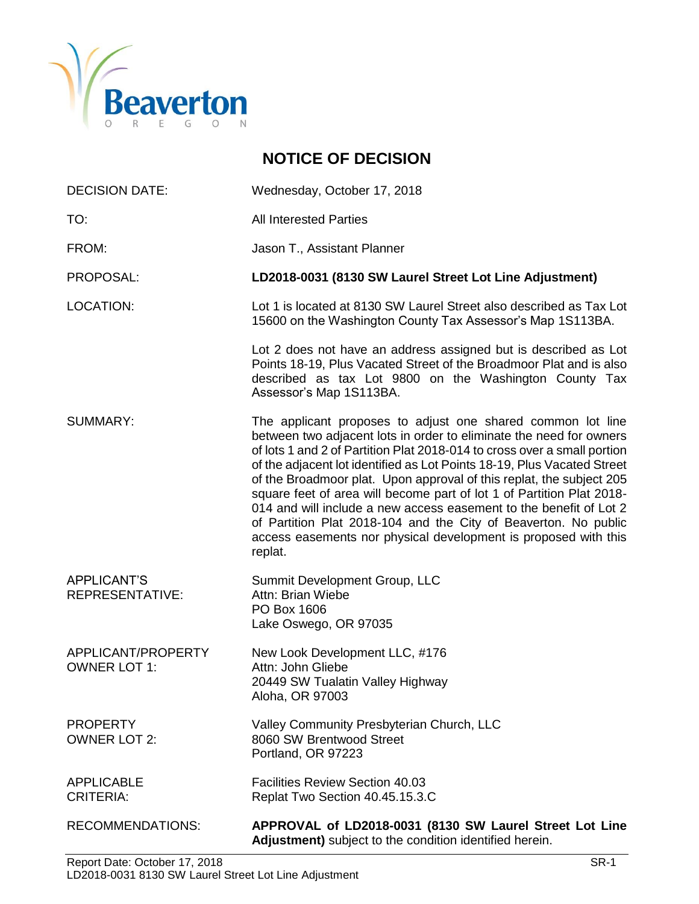

# **NOTICE OF DECISION**

| <b>DECISION DATE:</b>                        | Wednesday, October 17, 2018                                                                                                                                                                                                                                                                                                                                                                                                                                                                                                                                                                                                                                       |
|----------------------------------------------|-------------------------------------------------------------------------------------------------------------------------------------------------------------------------------------------------------------------------------------------------------------------------------------------------------------------------------------------------------------------------------------------------------------------------------------------------------------------------------------------------------------------------------------------------------------------------------------------------------------------------------------------------------------------|
| TO:                                          | <b>All Interested Parties</b>                                                                                                                                                                                                                                                                                                                                                                                                                                                                                                                                                                                                                                     |
| FROM:                                        | Jason T., Assistant Planner                                                                                                                                                                                                                                                                                                                                                                                                                                                                                                                                                                                                                                       |
| PROPOSAL:                                    | LD2018-0031 (8130 SW Laurel Street Lot Line Adjustment)                                                                                                                                                                                                                                                                                                                                                                                                                                                                                                                                                                                                           |
| <b>LOCATION:</b>                             | Lot 1 is located at 8130 SW Laurel Street also described as Tax Lot<br>15600 on the Washington County Tax Assessor's Map 1S113BA.                                                                                                                                                                                                                                                                                                                                                                                                                                                                                                                                 |
|                                              | Lot 2 does not have an address assigned but is described as Lot<br>Points 18-19, Plus Vacated Street of the Broadmoor Plat and is also<br>described as tax Lot 9800 on the Washington County Tax<br>Assessor's Map 1S113BA.                                                                                                                                                                                                                                                                                                                                                                                                                                       |
| SUMMARY:                                     | The applicant proposes to adjust one shared common lot line<br>between two adjacent lots in order to eliminate the need for owners<br>of lots 1 and 2 of Partition Plat 2018-014 to cross over a small portion<br>of the adjacent lot identified as Lot Points 18-19, Plus Vacated Street<br>of the Broadmoor plat. Upon approval of this replat, the subject 205<br>square feet of area will become part of lot 1 of Partition Plat 2018-<br>014 and will include a new access easement to the benefit of Lot 2<br>of Partition Plat 2018-104 and the City of Beaverton. No public<br>access easements nor physical development is proposed with this<br>replat. |
| <b>APPLICANT'S</b><br><b>REPRESENTATIVE:</b> | Summit Development Group, LLC<br>Attn: Brian Wiebe<br>PO Box 1606<br>Lake Oswego, OR 97035                                                                                                                                                                                                                                                                                                                                                                                                                                                                                                                                                                        |
| APPLICANT/PROPERTY<br><b>OWNER LOT 1:</b>    | New Look Development LLC, #176<br>Attn: John Gliebe<br>20449 SW Tualatin Valley Highway<br>Aloha, OR 97003                                                                                                                                                                                                                                                                                                                                                                                                                                                                                                                                                        |
| <b>PROPERTY</b><br><b>OWNER LOT 2:</b>       | Valley Community Presbyterian Church, LLC<br>8060 SW Brentwood Street<br>Portland, OR 97223                                                                                                                                                                                                                                                                                                                                                                                                                                                                                                                                                                       |
| <b>APPLICABLE</b><br><b>CRITERIA:</b>        | <b>Facilities Review Section 40.03</b><br>Replat Two Section 40.45.15.3.C                                                                                                                                                                                                                                                                                                                                                                                                                                                                                                                                                                                         |
| <b>RECOMMENDATIONS:</b>                      | APPROVAL of LD2018-0031 (8130 SW Laurel Street Lot Line<br>Adjustment) subject to the condition identified herein.                                                                                                                                                                                                                                                                                                                                                                                                                                                                                                                                                |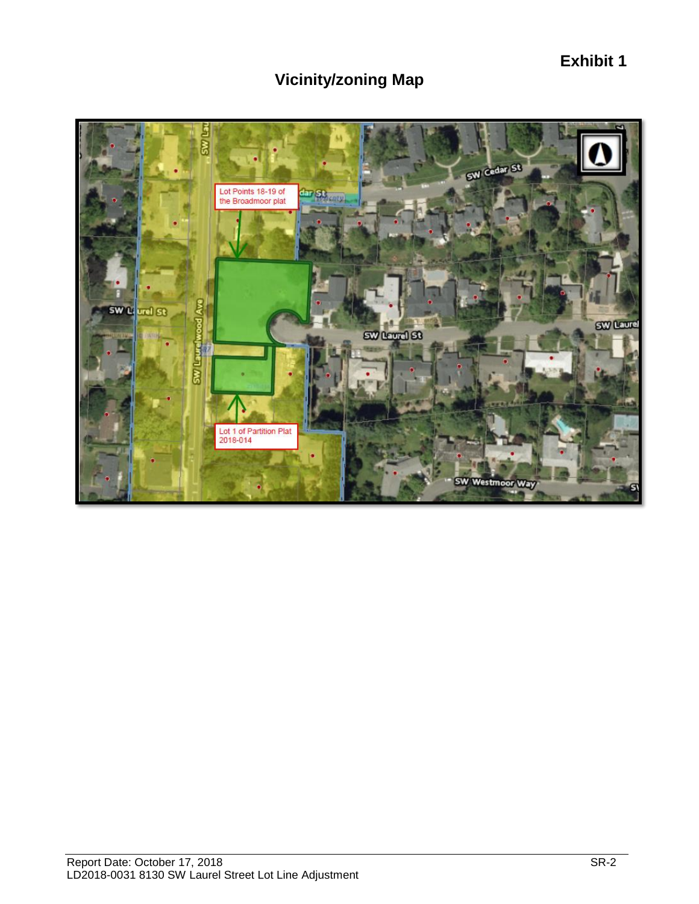**Exhibit 1**

# **Vicinity/zoning Map**

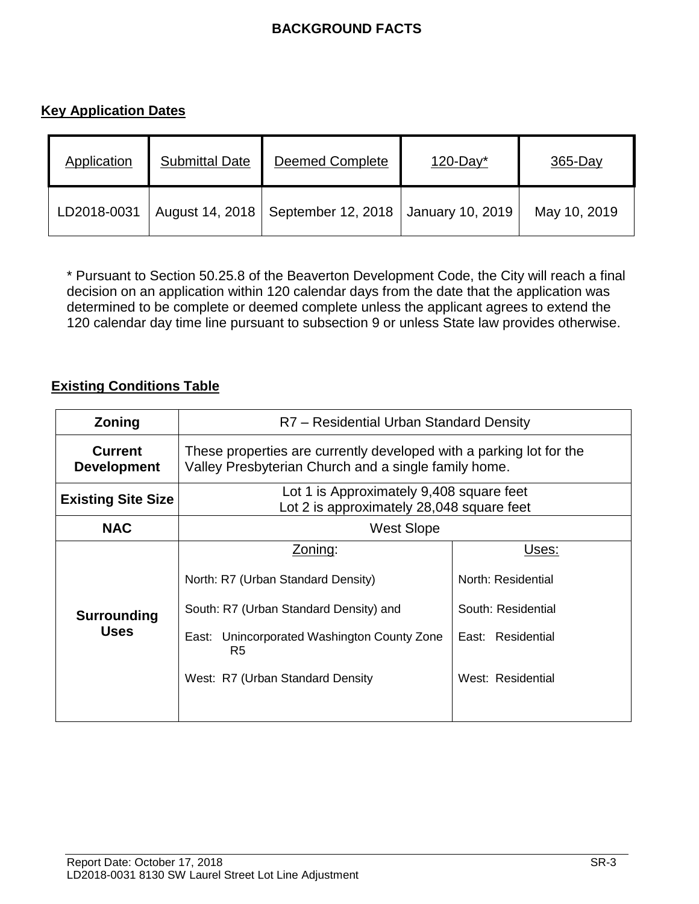### **BACKGROUND FACTS**

### **Key Application Dates**

| Application | <b>Submittal Date</b> | <b>Deemed Complete</b>                                  | $120$ -Day <sup>*</sup> | 365-Day      |
|-------------|-----------------------|---------------------------------------------------------|-------------------------|--------------|
| LD2018-0031 |                       | August 14, 2018   September 12, 2018   January 10, 2019 |                         | May 10, 2019 |

\* Pursuant to Section 50.25.8 of the Beaverton Development Code, the City will reach a final decision on an application within 120 calendar days from the date that the application was determined to be complete or deemed complete unless the applicant agrees to extend the 120 calendar day time line pursuant to subsection 9 or unless State law provides otherwise.

#### **Existing Conditions Table**

| Zoning                               | R7 – Residential Urban Standard Density                                                                                                                                                       |                                                                                             |  |  |
|--------------------------------------|-----------------------------------------------------------------------------------------------------------------------------------------------------------------------------------------------|---------------------------------------------------------------------------------------------|--|--|
| <b>Current</b><br><b>Development</b> | These properties are currently developed with a parking lot for the<br>Valley Presbyterian Church and a single family home.                                                                   |                                                                                             |  |  |
| <b>Existing Site Size</b>            | Lot 1 is Approximately 9,408 square feet<br>Lot 2 is approximately 28,048 square feet                                                                                                         |                                                                                             |  |  |
| <b>NAC</b>                           | <b>West Slope</b>                                                                                                                                                                             |                                                                                             |  |  |
| Surrounding<br><b>Uses</b>           | Zoning:<br>North: R7 (Urban Standard Density)<br>South: R7 (Urban Standard Density) and<br>East: Unincorporated Washington County Zone<br>R <sub>5</sub><br>West: R7 (Urban Standard Density) | Uses:<br>North: Residential<br>South: Residential<br>East: Residential<br>West: Residential |  |  |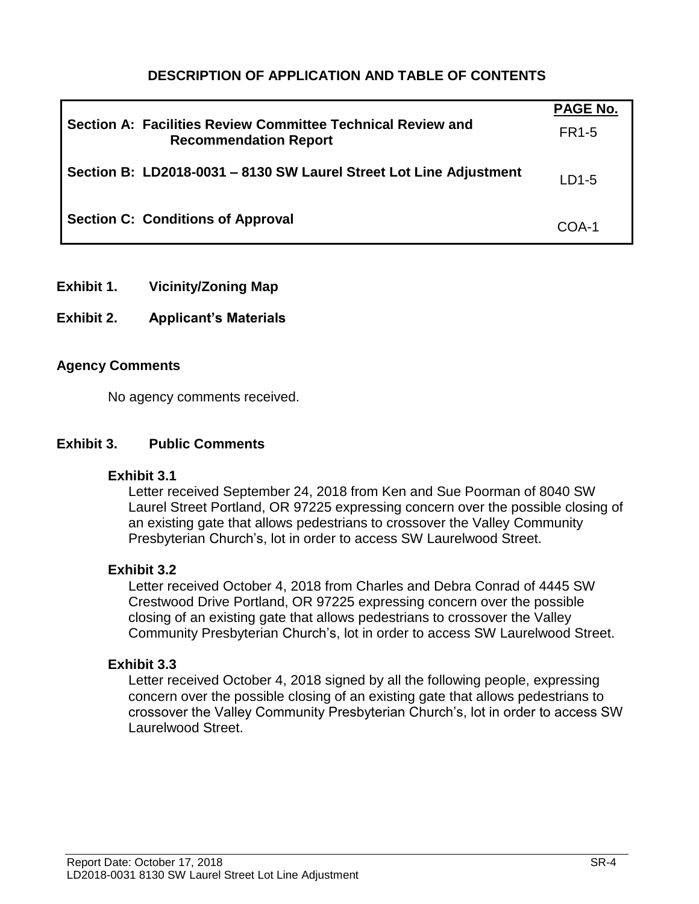## **DESCRIPTION OF APPLICATION AND TABLE OF CONTENTS**

| Section A: Facilities Review Committee Technical Review and<br><b>Recommendation Report</b> | <b>PAGE No.</b><br>FR1-5 |
|---------------------------------------------------------------------------------------------|--------------------------|
| Section B: LD2018-0031 - 8130 SW Laurel Street Lot Line Adjustment                          | $LD1-5$                  |
| <b>Section C: Conditions of Approval</b>                                                    | $C0A-1$                  |

**Exhibit 1. Vicinity/Zoning Map**

#### **Exhibit 2. Applicant's Materials**

#### **Agency Comments**

No agency comments received.

#### **Exhibit 3. Public Comments**

#### **Exhibit 3.1**

Letter received September 24, 2018 from Ken and Sue Poorman of 8040 SW Laurel Street Portland, OR 97225 expressing concern over the possible closing of an existing gate that allows pedestrians to crossover the Valley Community Presbyterian Church's, lot in order to access SW Laurelwood Street.

#### **Exhibit 3.2**

Letter received October 4, 2018 from Charles and Debra Conrad of 4445 SW Crestwood Drive Portland, OR 97225 expressing concern over the possible closing of an existing gate that allows pedestrians to crossover the Valley Community Presbyterian Church's, lot in order to access SW Laurelwood Street.

#### **Exhibit 3.3**

Letter received October 4, 2018 signed by all the following people, expressing concern over the possible closing of an existing gate that allows pedestrians to crossover the Valley Community Presbyterian Church's, lot in order to access SW Laurelwood Street.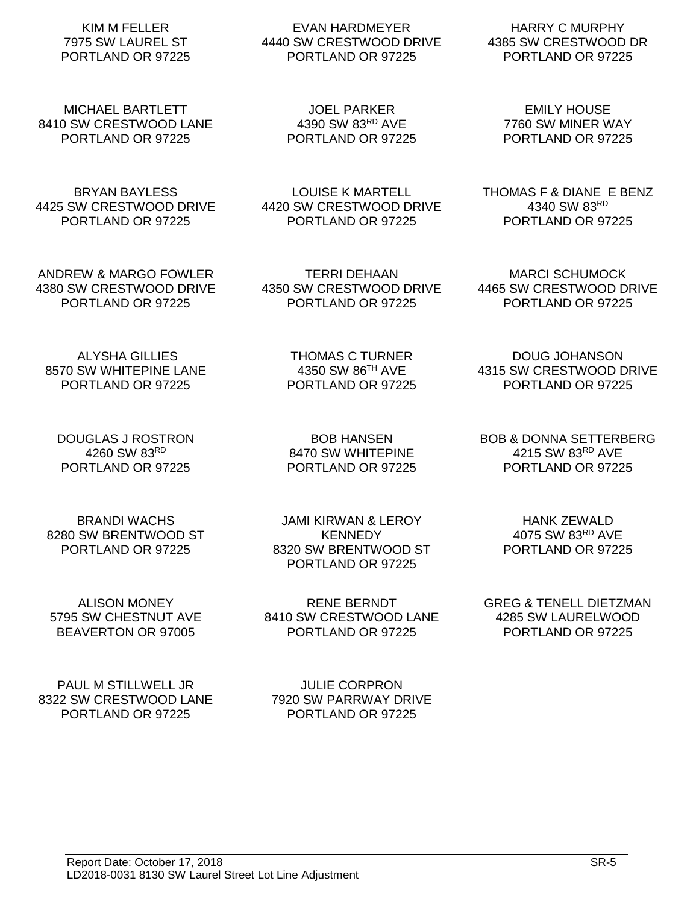#### KIM M FELLER 7975 SW LAUREL ST PORTLAND OR 97225

MICHAEL BARTLETT 8410 SW CRESTWOOD LANE PORTLAND OR 97225

BRYAN BAYLESS 4425 SW CRESTWOOD DRIVE PORTLAND OR 97225

ANDREW & MARGO FOWLER 4380 SW CRESTWOOD DRIVE PORTLAND OR 97225

ALYSHA GILLIES 8570 SW WHITEPINE LANE PORTLAND OR 97225

DOUGLAS J ROSTRON 4260 SW 83RD PORTLAND OR 97225

BRANDI WACHS 8280 SW BRENTWOOD ST PORTLAND OR 97225

ALISON MONEY 5795 SW CHESTNUT AVE BEAVERTON OR 97005

PAUL M STILLWELL JR 8322 SW CRESTWOOD LANE PORTLAND OR 97225

EVAN HARDMEYER 4440 SW CRESTWOOD DRIVE PORTLAND OR 97225

> JOEL PARKER 4390 SW 83RD AVE PORTLAND OR 97225

LOUISE K MARTELL 4420 SW CRESTWOOD DRIVE PORTLAND OR 97225

TERRI DEHAAN 4350 SW CRESTWOOD DRIVE PORTLAND OR 97225

> THOMAS C TURNER 4350 SW 86TH AVE PORTLAND OR 97225

> BOB HANSEN 8470 SW WHITEPINE PORTLAND OR 97225

JAMI KIRWAN & LEROY **KENNEDY** 8320 SW BRENTWOOD ST PORTLAND OR 97225

RENE BERNDT 8410 SW CRESTWOOD LANE PORTLAND OR 97225

JULIE CORPRON 7920 SW PARRWAY DRIVE PORTLAND OR 97225

GREG & TENELL DIETZMAN 4285 SW LAURELWOOD PORTLAND OR 97225

EMILY HOUSE 7760 SW MINER WAY PORTLAND OR 97225

THOMAS F & DIANE E BENZ 4340 SW 83RD PORTLAND OR 97225

MARCI SCHUMOCK 4465 SW CRESTWOOD DRIVE PORTLAND OR 97225

DOUG JOHANSON 4315 SW CRESTWOOD DRIVE PORTLAND OR 97225

BOB & DONNA SETTERBERG 4215 SW 83RD AVE PORTLAND OR 97225

> HANK ZEWALD 4075 SW 83RD AVE PORTLAND OR 97225

HARRY C MURPHY 4385 SW CRESTWOOD DR PORTLAND OR 97225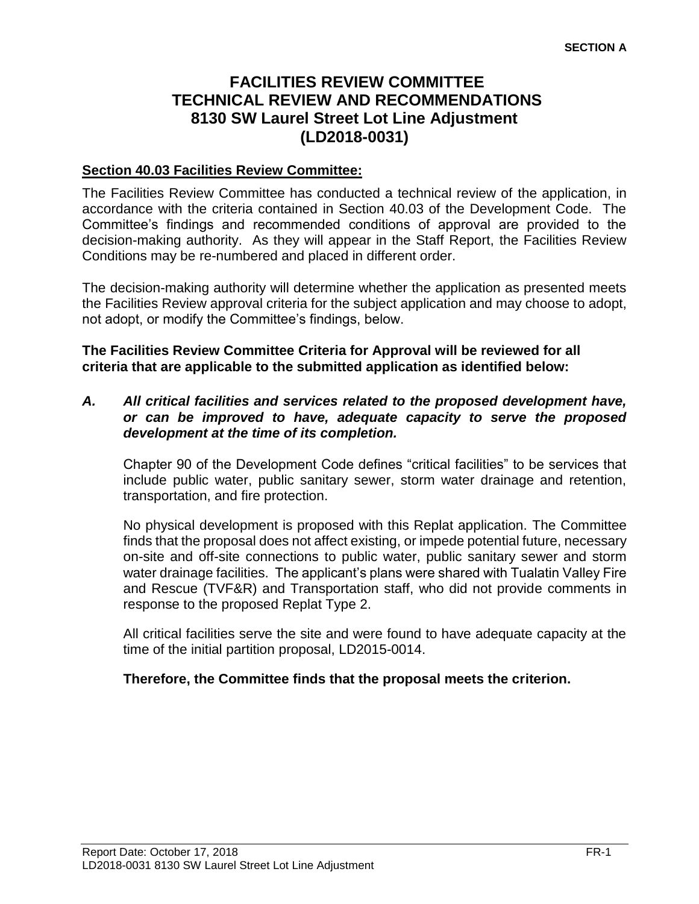# **FACILITIES REVIEW COMMITTEE TECHNICAL REVIEW AND RECOMMENDATIONS 8130 SW Laurel Street Lot Line Adjustment (LD2018-0031)**

#### **Section 40.03 Facilities Review Committee:**

The Facilities Review Committee has conducted a technical review of the application, in accordance with the criteria contained in Section 40.03 of the Development Code. The Committee's findings and recommended conditions of approval are provided to the decision-making authority. As they will appear in the Staff Report, the Facilities Review Conditions may be re-numbered and placed in different order.

The decision-making authority will determine whether the application as presented meets the Facilities Review approval criteria for the subject application and may choose to adopt, not adopt, or modify the Committee's findings, below.

**The Facilities Review Committee Criteria for Approval will be reviewed for all criteria that are applicable to the submitted application as identified below:**

#### *A. All critical facilities and services related to the proposed development have, or can be improved to have, adequate capacity to serve the proposed development at the time of its completion.*

Chapter 90 of the Development Code defines "critical facilities" to be services that include public water, public sanitary sewer, storm water drainage and retention, transportation, and fire protection.

No physical development is proposed with this Replat application. The Committee finds that the proposal does not affect existing, or impede potential future, necessary on-site and off-site connections to public water, public sanitary sewer and storm water drainage facilities. The applicant's plans were shared with Tualatin Valley Fire and Rescue (TVF&R) and Transportation staff, who did not provide comments in response to the proposed Replat Type 2.

All critical facilities serve the site and were found to have adequate capacity at the time of the initial partition proposal, LD2015-0014.

#### **Therefore, the Committee finds that the proposal meets the criterion.**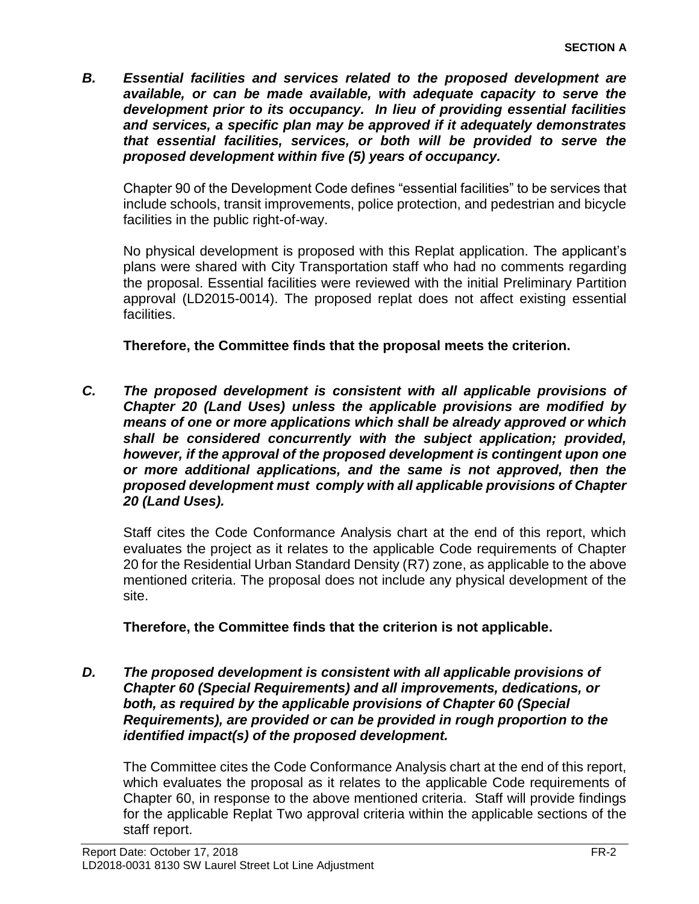*B. Essential facilities and services related to the proposed development are available, or can be made available, with adequate capacity to serve the development prior to its occupancy. In lieu of providing essential facilities and services, a specific plan may be approved if it adequately demonstrates that essential facilities, services, or both will be provided to serve the proposed development within five (5) years of occupancy.*

Chapter 90 of the Development Code defines "essential facilities" to be services that include schools, transit improvements, police protection, and pedestrian and bicycle facilities in the public right-of-way.

No physical development is proposed with this Replat application. The applicant's plans were shared with City Transportation staff who had no comments regarding the proposal. Essential facilities were reviewed with the initial Preliminary Partition approval (LD2015-0014). The proposed replat does not affect existing essential facilities.

**Therefore, the Committee finds that the proposal meets the criterion.**

*C. The proposed development is consistent with all applicable provisions of Chapter 20 (Land Uses) unless the applicable provisions are modified by means of one or more applications which shall be already approved or which shall be considered concurrently with the subject application; provided, however, if the approval of the proposed development is contingent upon one or more additional applications, and the same is not approved, then the proposed development must comply with all applicable provisions of Chapter 20 (Land Uses).*

Staff cites the Code Conformance Analysis chart at the end of this report, which evaluates the project as it relates to the applicable Code requirements of Chapter 20 for the Residential Urban Standard Density (R7) zone, as applicable to the above mentioned criteria. The proposal does not include any physical development of the site.

**Therefore, the Committee finds that the criterion is not applicable.** 

*D. The proposed development is consistent with all applicable provisions of Chapter 60 (Special Requirements) and all improvements, dedications, or both, as required by the applicable provisions of Chapter 60 (Special Requirements), are provided or can be provided in rough proportion to the identified impact(s) of the proposed development.*

The Committee cites the Code Conformance Analysis chart at the end of this report, which evaluates the proposal as it relates to the applicable Code requirements of Chapter 60, in response to the above mentioned criteria. Staff will provide findings for the applicable Replat Two approval criteria within the applicable sections of the staff report.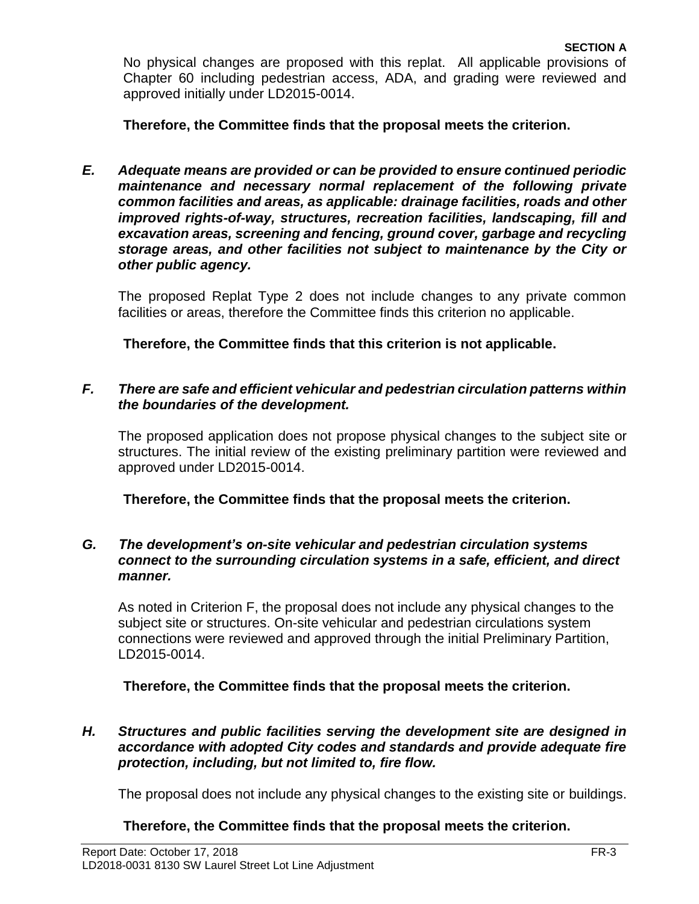No physical changes are proposed with this replat. All applicable provisions of Chapter 60 including pedestrian access, ADA, and grading were reviewed and approved initially under LD2015-0014.

**Therefore, the Committee finds that the proposal meets the criterion.** 

*E. Adequate means are provided or can be provided to ensure continued periodic maintenance and necessary normal replacement of the following private common facilities and areas, as applicable: drainage facilities, roads and other improved rights-of-way, structures, recreation facilities, landscaping, fill and excavation areas, screening and fencing, ground cover, garbage and recycling storage areas, and other facilities not subject to maintenance by the City or other public agency.*

The proposed Replat Type 2 does not include changes to any private common facilities or areas, therefore the Committee finds this criterion no applicable.

**Therefore, the Committee finds that this criterion is not applicable.** 

#### *F. There are safe and efficient vehicular and pedestrian circulation patterns within the boundaries of the development.*

The proposed application does not propose physical changes to the subject site or structures. The initial review of the existing preliminary partition were reviewed and approved under LD2015-0014.

**Therefore, the Committee finds that the proposal meets the criterion.** 

#### *G. The development's on-site vehicular and pedestrian circulation systems connect to the surrounding circulation systems in a safe, efficient, and direct manner.*

As noted in Criterion F, the proposal does not include any physical changes to the subject site or structures. On-site vehicular and pedestrian circulations system connections were reviewed and approved through the initial Preliminary Partition, LD2015-0014.

**Therefore, the Committee finds that the proposal meets the criterion.** 

*H. Structures and public facilities serving the development site are designed in accordance with adopted City codes and standards and provide adequate fire protection, including, but not limited to, fire flow.* 

The proposal does not include any physical changes to the existing site or buildings.

#### **Therefore, the Committee finds that the proposal meets the criterion.**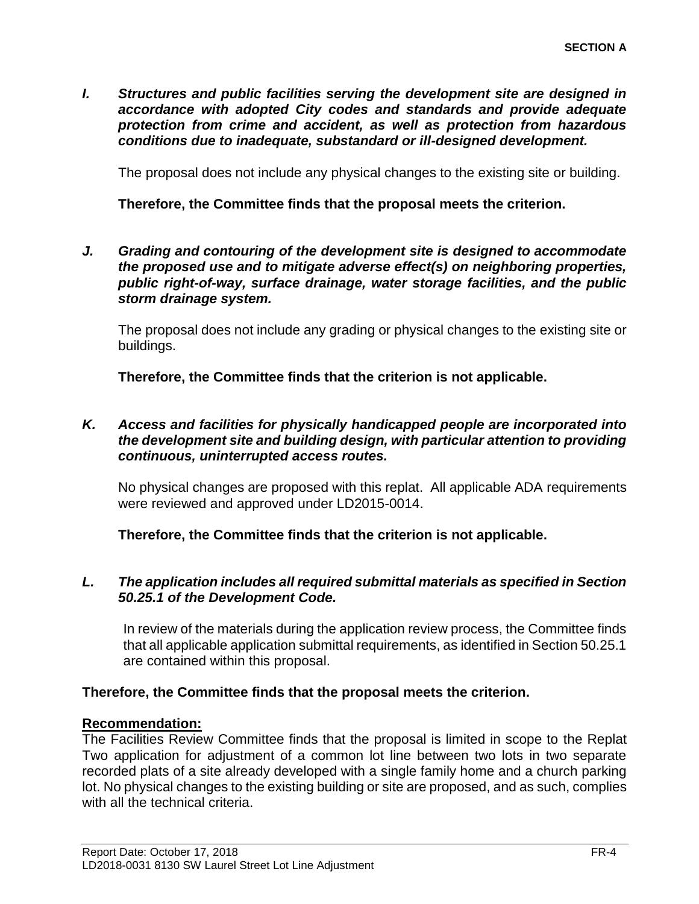*I. Structures and public facilities serving the development site are designed in accordance with adopted City codes and standards and provide adequate protection from crime and accident, as well as protection from hazardous conditions due to inadequate, substandard or ill-designed development.*

The proposal does not include any physical changes to the existing site or building.

**Therefore, the Committee finds that the proposal meets the criterion.** 

*J. Grading and contouring of the development site is designed to accommodate the proposed use and to mitigate adverse effect(s) on neighboring properties, public right-of-way, surface drainage, water storage facilities, and the public storm drainage system.*

The proposal does not include any grading or physical changes to the existing site or buildings.

**Therefore, the Committee finds that the criterion is not applicable.** 

#### *K. Access and facilities for physically handicapped people are incorporated into the development site and building design, with particular attention to providing continuous, uninterrupted access routes.*

No physical changes are proposed with this replat. All applicable ADA requirements were reviewed and approved under LD2015-0014.

**Therefore, the Committee finds that the criterion is not applicable.** 

#### *L. The application includes all required submittal materials as specified in Section 50.25.1 of the Development Code.*

In review of the materials during the application review process, the Committee finds that all applicable application submittal requirements, as identified in Section 50.25.1 are contained within this proposal.

#### **Therefore, the Committee finds that the proposal meets the criterion.**

#### **Recommendation:**

The Facilities Review Committee finds that the proposal is limited in scope to the Replat Two application for adjustment of a common lot line between two lots in two separate recorded plats of a site already developed with a single family home and a church parking lot. No physical changes to the existing building or site are proposed, and as such, complies with all the technical criteria.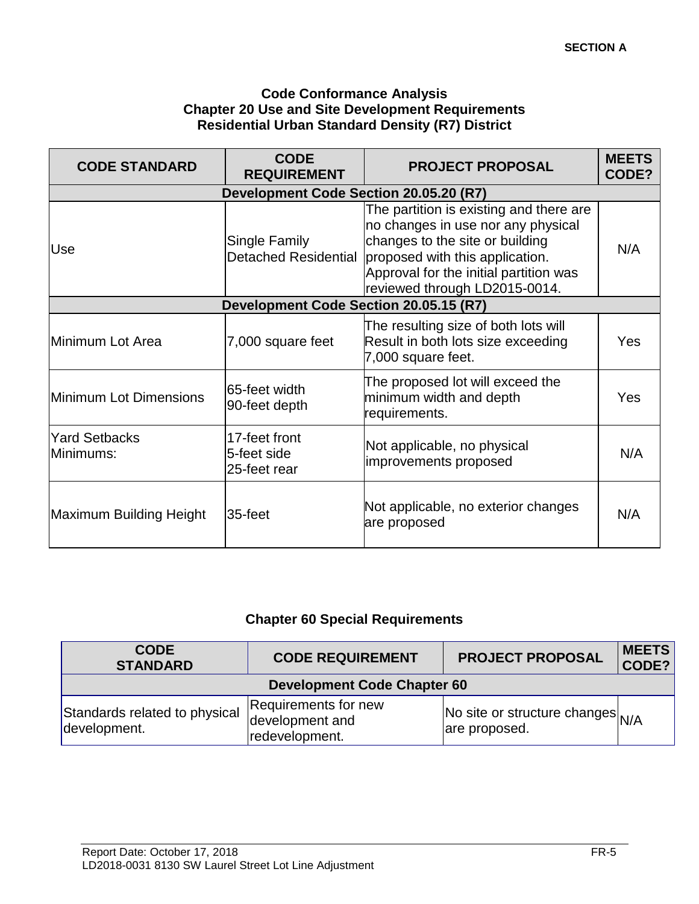#### **Code Conformance Analysis Chapter 20 Use and Site Development Requirements Residential Urban Standard Density (R7) District**

| <b>CODE STANDARD</b>                   | <b>CODE</b><br><b>REQUIREMENT</b>            | <b>PROJECT PROPOSAL</b>                                                                                                                                                                                                        | <b>MEETS</b><br>CODE? |  |
|----------------------------------------|----------------------------------------------|--------------------------------------------------------------------------------------------------------------------------------------------------------------------------------------------------------------------------------|-----------------------|--|
| Development Code Section 20.05.20 (R7) |                                              |                                                                                                                                                                                                                                |                       |  |
| Use                                    | Single Family<br><b>Detached Residential</b> | The partition is existing and there are<br>no changes in use nor any physical<br>changes to the site or building<br>proposed with this application.<br>Approval for the initial partition was<br>reviewed through LD2015-0014. | N/A                   |  |
|                                        | Development Code Section 20.05.15 (R7)       |                                                                                                                                                                                                                                |                       |  |
| Minimum Lot Area                       | 7,000 square feet                            | The resulting size of both lots will<br>Result in both lots size exceeding<br>7,000 square feet.                                                                                                                               | Yes                   |  |
| Minimum Lot Dimensions                 | 65-feet width<br>90-feet depth               | The proposed lot will exceed the<br>minimum width and depth<br>requirements.                                                                                                                                                   | Yes                   |  |
| <b>Yard Setbacks</b><br>Minimums:      | 17-feet front<br>5-feet side<br>25-feet rear | Not applicable, no physical<br>improvements proposed                                                                                                                                                                           | N/A                   |  |
| Maximum Building Height                | 35-feet                                      | Not applicable, no exterior changes<br>are proposed                                                                                                                                                                            | N/A                   |  |

## **Chapter 60 Special Requirements**

| <b>CODE</b><br><b>STANDARD</b>                | <b>CODE REQUIREMENT</b>                                   | <b>PROJECT PROPOSAL</b>                           | <b>MEETS</b><br>CODE? |  |  |
|-----------------------------------------------|-----------------------------------------------------------|---------------------------------------------------|-----------------------|--|--|
| <b>Development Code Chapter 60</b>            |                                                           |                                                   |                       |  |  |
| Standards related to physical<br>development. | Requirements for new<br>development and<br>redevelopment. | No site or structure changes N/A<br>are proposed. |                       |  |  |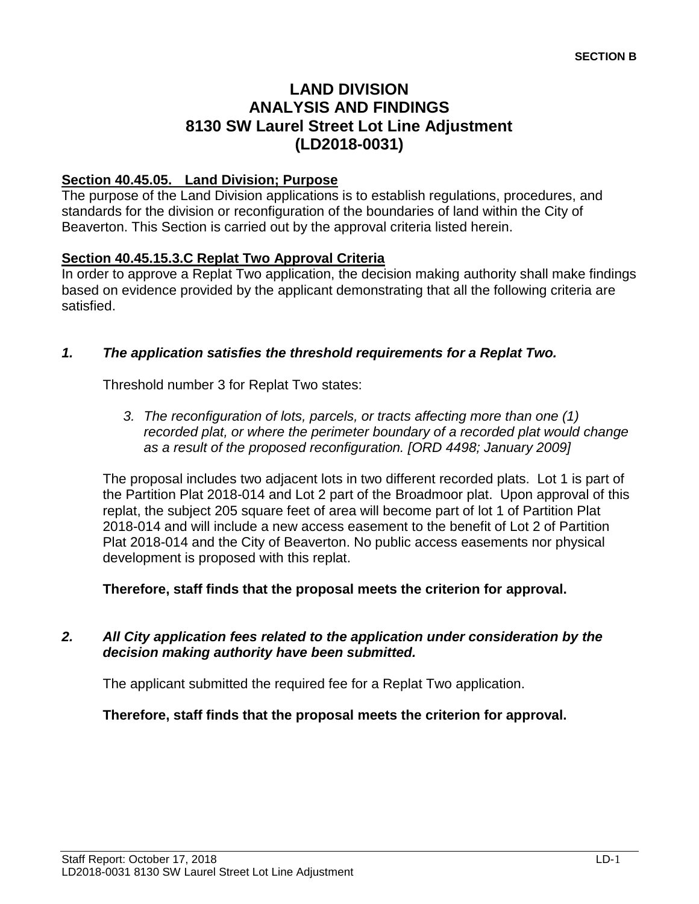# **LAND DIVISION ANALYSIS AND FINDINGS 8130 SW Laurel Street Lot Line Adjustment (LD2018-0031)**

#### **Section 40.45.05. Land Division; Purpose**

The purpose of the Land Division applications is to establish regulations, procedures, and standards for the division or reconfiguration of the boundaries of land within the City of Beaverton. This Section is carried out by the approval criteria listed herein.

#### **Section 40.45.15.3.C Replat Two Approval Criteria**

In order to approve a Replat Two application, the decision making authority shall make findings based on evidence provided by the applicant demonstrating that all the following criteria are satisfied.

#### *1. The application satisfies the threshold requirements for a Replat Two.*

Threshold number 3 for Replat Two states:

*3. The reconfiguration of lots, parcels, or tracts affecting more than one (1)*  recorded plat, or where the perimeter boundary of a recorded plat would change *as a result of the proposed reconfiguration. [ORD 4498; January 2009]*

The proposal includes two adjacent lots in two different recorded plats. Lot 1 is part of the Partition Plat 2018-014 and Lot 2 part of the Broadmoor plat. Upon approval of this replat, the subject 205 square feet of area will become part of lot 1 of Partition Plat 2018-014 and will include a new access easement to the benefit of Lot 2 of Partition Plat 2018-014 and the City of Beaverton. No public access easements nor physical development is proposed with this replat.

**Therefore, staff finds that the proposal meets the criterion for approval.**

#### *2. All City application fees related to the application under consideration by the decision making authority have been submitted.*

The applicant submitted the required fee for a Replat Two application.

**Therefore, staff finds that the proposal meets the criterion for approval.**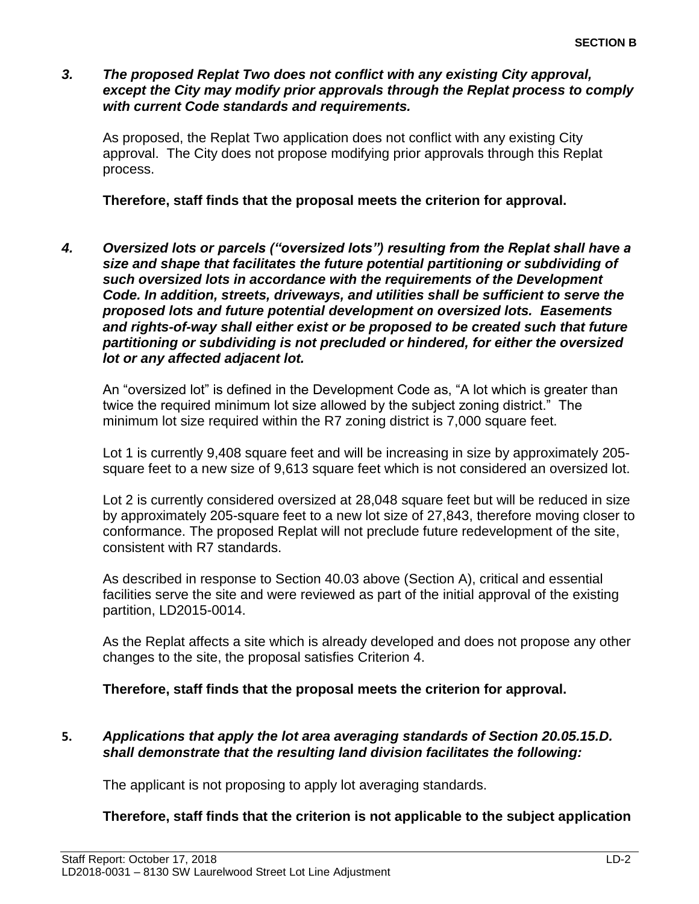#### *3. The proposed Replat Two does not conflict with any existing City approval, except the City may modify prior approvals through the Replat process to comply with current Code standards and requirements.*

As proposed, the Replat Two application does not conflict with any existing City approval. The City does not propose modifying prior approvals through this Replat process.

**Therefore, staff finds that the proposal meets the criterion for approval.**

*4. Oversized lots or parcels ("oversized lots") resulting from the Replat shall have a size and shape that facilitates the future potential partitioning or subdividing of such oversized lots in accordance with the requirements of the Development Code. In addition, streets, driveways, and utilities shall be sufficient to serve the proposed lots and future potential development on oversized lots. Easements and rights-of-way shall either exist or be proposed to be created such that future partitioning or subdividing is not precluded or hindered, for either the oversized lot or any affected adjacent lot.*

An "oversized lot" is defined in the Development Code as, "A lot which is greater than twice the required minimum lot size allowed by the subject zoning district." The minimum lot size required within the R7 zoning district is 7,000 square feet.

Lot 1 is currently 9,408 square feet and will be increasing in size by approximately 205 square feet to a new size of 9,613 square feet which is not considered an oversized lot.

Lot 2 is currently considered oversized at 28,048 square feet but will be reduced in size by approximately 205-square feet to a new lot size of 27,843, therefore moving closer to conformance. The proposed Replat will not preclude future redevelopment of the site, consistent with R7 standards.

As described in response to Section 40.03 above (Section A), critical and essential facilities serve the site and were reviewed as part of the initial approval of the existing partition, LD2015-0014.

As the Replat affects a site which is already developed and does not propose any other changes to the site, the proposal satisfies Criterion 4.

**Therefore, staff finds that the proposal meets the criterion for approval.**

#### **5.** *Applications that apply the lot area averaging standards of Section 20.05.15.D. shall demonstrate that the resulting land division facilitates the following:*

The applicant is not proposing to apply lot averaging standards.

## **Therefore, staff finds that the criterion is not applicable to the subject application**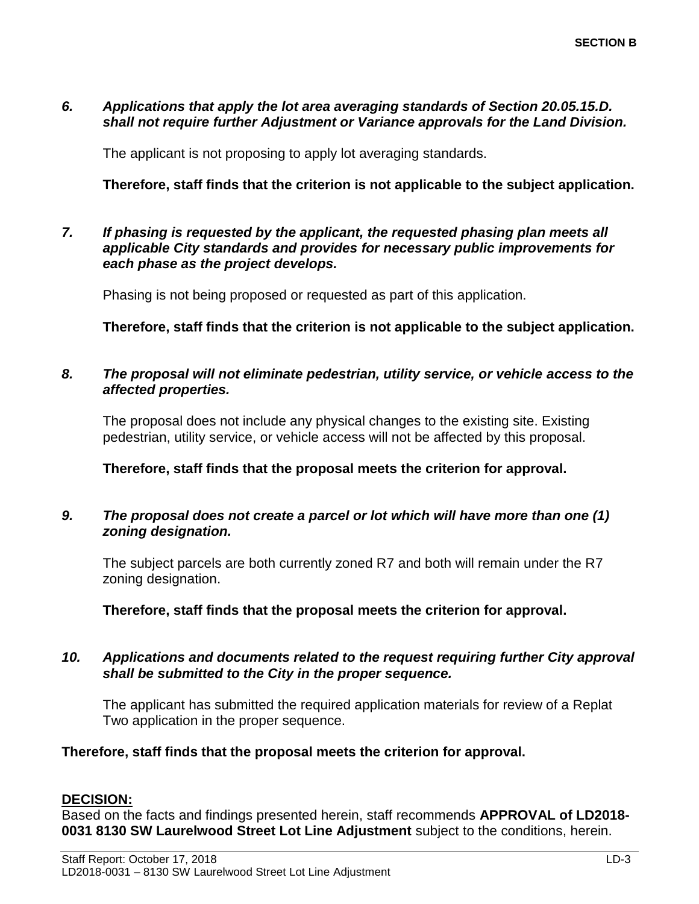#### *6. Applications that apply the lot area averaging standards of Section 20.05.15.D. shall not require further Adjustment or Variance approvals for the Land Division.*

The applicant is not proposing to apply lot averaging standards.

#### **Therefore, staff finds that the criterion is not applicable to the subject application.**

#### *7. If phasing is requested by the applicant, the requested phasing plan meets all applicable City standards and provides for necessary public improvements for each phase as the project develops.*

Phasing is not being proposed or requested as part of this application.

**Therefore, staff finds that the criterion is not applicable to the subject application.**

#### *8. The proposal will not eliminate pedestrian, utility service, or vehicle access to the affected properties.*

The proposal does not include any physical changes to the existing site. Existing pedestrian, utility service, or vehicle access will not be affected by this proposal.

**Therefore, staff finds that the proposal meets the criterion for approval.**

#### *9. The proposal does not create a parcel or lot which will have more than one (1) zoning designation.*

The subject parcels are both currently zoned R7 and both will remain under the R7 zoning designation.

**Therefore, staff finds that the proposal meets the criterion for approval.**

#### *10. Applications and documents related to the request requiring further City approval shall be submitted to the City in the proper sequence.*

The applicant has submitted the required application materials for review of a Replat Two application in the proper sequence.

## **Therefore, staff finds that the proposal meets the criterion for approval.**

## **DECISION:**

Based on the facts and findings presented herein, staff recommends **APPROVAL of LD2018- 0031 8130 SW Laurelwood Street Lot Line Adjustment** subject to the conditions, herein.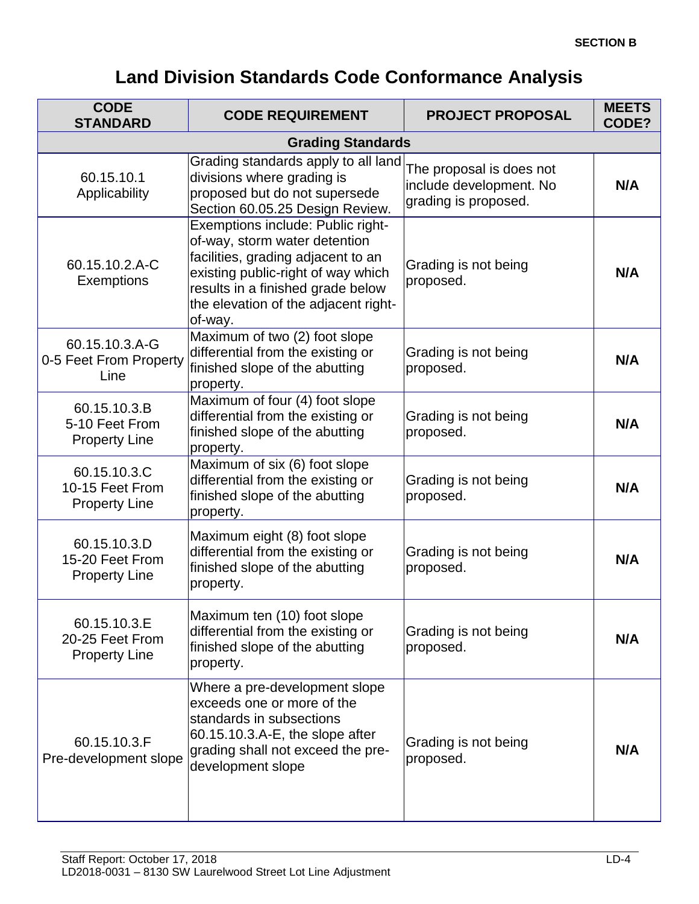# **Land Division Standards Code Conformance Analysis**

| <b>CODE</b><br><b>STANDARD</b>                          | <b>CODE REQUIREMENT</b>                                                                                                                                                                                                                | <b>PROJECT PROPOSAL</b>                                                     | <b>MEETS</b><br>CODE? |
|---------------------------------------------------------|----------------------------------------------------------------------------------------------------------------------------------------------------------------------------------------------------------------------------------------|-----------------------------------------------------------------------------|-----------------------|
| <b>Grading Standards</b>                                |                                                                                                                                                                                                                                        |                                                                             |                       |
| 60.15.10.1<br>Applicability                             | Grading standards apply to all land<br>divisions where grading is<br>proposed but do not supersede<br>Section 60.05.25 Design Review.                                                                                                  | The proposal is does not<br>include development. No<br>grading is proposed. | N/A                   |
| 60.15.10.2.A-C<br>Exemptions                            | Exemptions include: Public right-<br>of-way, storm water detention<br>facilities, grading adjacent to an<br>existing public-right of way which<br>results in a finished grade below<br>the elevation of the adjacent right-<br>of-way. | Grading is not being<br>proposed.                                           | N/A                   |
| 60.15.10.3.A-G<br>0-5 Feet From Property<br>Line        | Maximum of two (2) foot slope<br>differential from the existing or<br>finished slope of the abutting<br>property.                                                                                                                      | Grading is not being<br>proposed.                                           | N/A                   |
| 60.15.10.3.B<br>5-10 Feet From<br><b>Property Line</b>  | Maximum of four (4) foot slope<br>differential from the existing or<br>finished slope of the abutting<br>property.                                                                                                                     | Grading is not being<br>proposed.                                           | N/A                   |
| 60.15.10.3.C<br>10-15 Feet From<br><b>Property Line</b> | Maximum of six (6) foot slope<br>differential from the existing or<br>finished slope of the abutting<br>property.                                                                                                                      | Grading is not being<br>proposed.                                           | N/A                   |
| 60.15.10.3.D<br>15-20 Feet From<br><b>Property Line</b> | Maximum eight (8) foot slope<br>differential from the existing or<br>finished slope of the abutting<br>property.                                                                                                                       | Grading is not being<br>proposed.                                           | N/A                   |
| 60.15.10.3.E<br>20-25 Feet From<br><b>Property Line</b> | Maximum ten (10) foot slope<br>differential from the existing or<br>finished slope of the abutting<br>property.                                                                                                                        | Grading is not being<br>proposed.                                           | N/A                   |
| 60.15.10.3.F<br>Pre-development slope                   | Where a pre-development slope<br>exceeds one or more of the<br>standards in subsections<br>60.15.10.3.A-E, the slope after<br>grading shall not exceed the pre-<br>development slope                                                   | Grading is not being<br>proposed.                                           | N/A                   |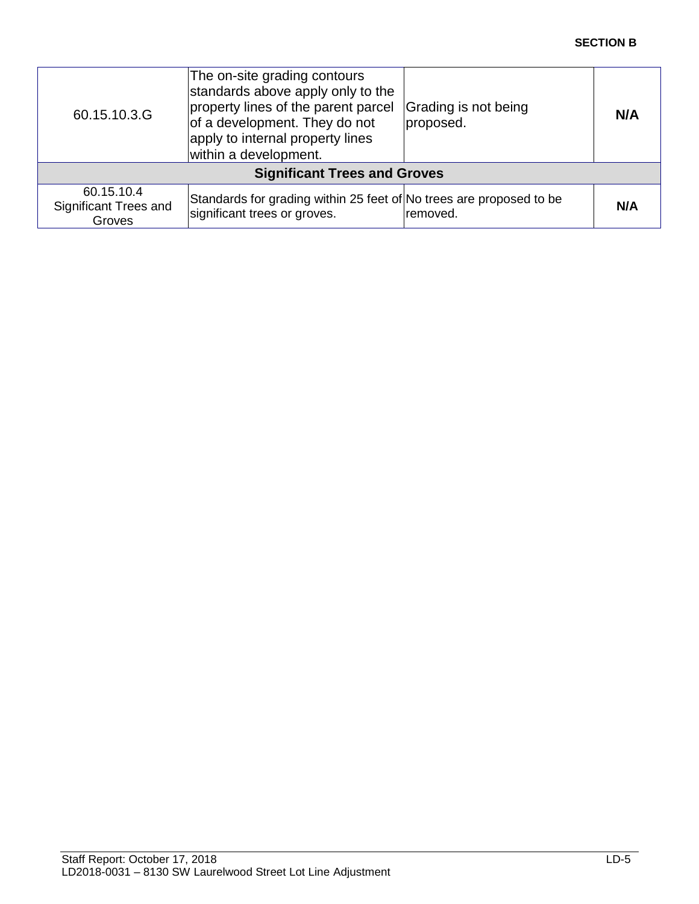#### **SECTION B**

| 60.15.10.3.G                                  | The on-site grading contours<br>standards above apply only to the<br>property lines of the parent parcel<br>of a development. They do not<br>apply to internal property lines<br>within a development. | Grading is not being<br>proposed. | N/A |
|-----------------------------------------------|--------------------------------------------------------------------------------------------------------------------------------------------------------------------------------------------------------|-----------------------------------|-----|
| <b>Significant Trees and Groves</b>           |                                                                                                                                                                                                        |                                   |     |
| 60.15.10.4<br>Significant Trees and<br>Groves | Standards for grading within 25 feet of No trees are proposed to be<br>significant trees or groves.                                                                                                    | removed.                          | N/A |